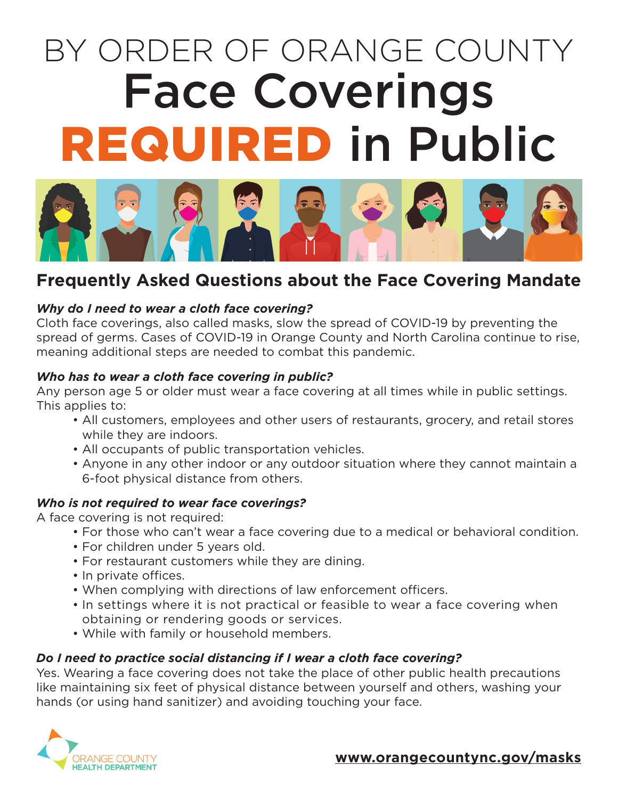# BY ORDER OF ORANGE COUNTY Face Coverings REQUIRED in Public



# **Frequently Asked Questions about the Face Covering Mandate**

### *Why do I need to wear a cloth face covering?*

Cloth face coverings, also called masks, slow the spread of COVID-19 by preventing the spread of germs. Cases of COVID-19 in Orange County and North Carolina continue to rise, meaning additional steps are needed to combat this pandemic.

#### *Who has to wear a cloth face covering in public?*

Any person age 5 or older must wear a face covering at all times while in public settings. This applies to:

- All customers, employees and other users of restaurants, grocery, and retail stores while they are indoors.
- All occupants of public transportation vehicles.
- Anyone in any other indoor or any outdoor situation where they cannot maintain a 6-foot physical distance from others.

#### *Who is not required to wear face coverings?*

A face covering is not required:

- For those who can't wear a face covering due to a medical or behavioral condition.
- For children under 5 years old.
- For restaurant customers while they are dining.
- In private offices.
- When complying with directions of law enforcement officers.
- In settings where it is not practical or feasible to wear a face covering when obtaining or rendering goods or services.
- While with family or household members.

#### *Do I need to practice social distancing if I wear a cloth face covering?*

Yes. Wearing a face covering does not take the place of other public health precautions like maintaining six feet of physical distance between yourself and others, washing your hands (or using hand sanitizer) and avoiding touching your face.



#### **[www.orangecountync.gov/masks](http://www.orangecountync.gov/masks)**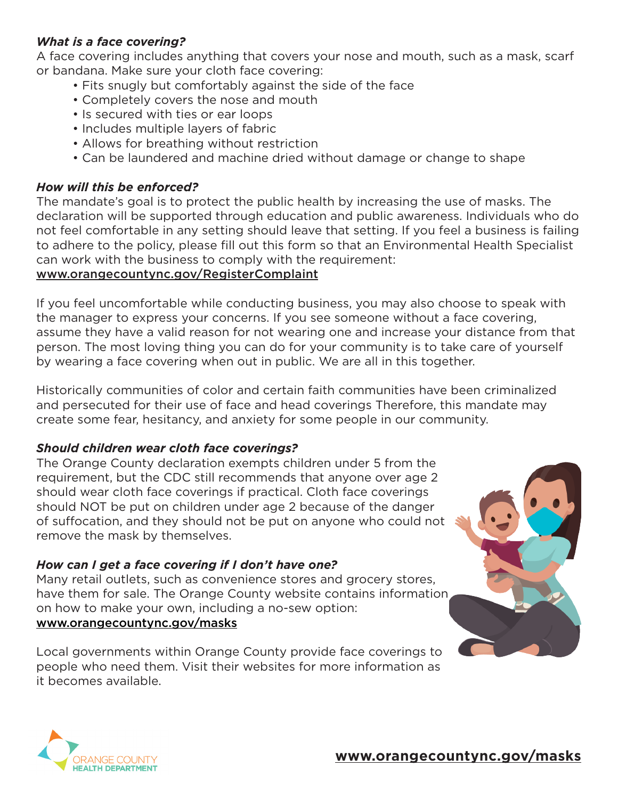#### *What is a face covering?*

A face covering includes anything that covers your nose and mouth, such as a mask, scarf or bandana. Make sure your cloth face covering:

- Fits snugly but comfortably against the side of the face
- Completely covers the nose and mouth
- Is secured with ties or ear loops
- Includes multiple layers of fabric
- Allows for breathing without restriction
- Can be laundered and machine dried without damage or change to shape

#### *How will this be enforced?*

The mandate's goal is to protect the public health by increasing the use of masks. The declaration will be supported through education and public awareness. Individuals who do not feel comfortable in any setting should leave that setting. If you feel a business is failing to adhere to the policy, please fill out this form so that an Environmental Health Specialist can work with the business to comply with the requirement:

#### www.orangecountync.gov/RegisterComplaint

If you feel uncomfortable while conducting business, you may also choose to speak with the manager to express your concerns. If you see someone without a face covering, assume they have a valid reason for not wearing one and increase your distance from that person. The most loving thing you can do for your community is to take care of yourself by wearing a face covering when out in public. We are all in this together.

Historically communities of color and certain faith communities have been criminalized and persecuted for their use of face and head coverings Therefore, this mandate may create some fear, hesitancy, and anxiety for some people in our community.

# *Should children wear cloth face coverings?*

The Orange County declaration exempts children under 5 from the requirement, but the CDC still recommends that anyone over age 2 should wear cloth face coverings if practical. Cloth face coverings should NOT be put on children under age 2 because of the danger of suffocation, and they should not be put on anyone who could not remove the mask by themselves.

# *How can I get a face covering if I don't have one?*

Many retail outlets, such as convenience stores and grocery stores, have them for sale. The Orange County website contains information on how to make your own, including a no-sew option: [www.orangecountync.gov/masks](http://www.orangecountync.gov/masks)

Local governments within Orange County provide face coverings to people who need them. Visit their websites for more information as it becomes available.